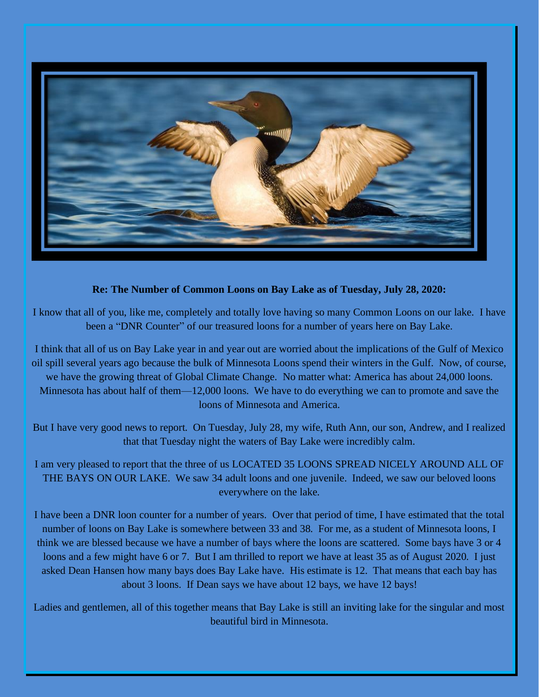

## **Re: The Number of Common Loons on Bay Lake as of Tuesday, July 28, 2020:**

I know that all of you, like me, completely and totally love having so many Common Loons on our lake. I have been a "DNR Counter" of our treasured loons for a number of years here on Bay Lake.

I think that all of us on Bay Lake year in and year out are worried about the implications of the Gulf of Mexico oil spill several years ago because the bulk of Minnesota Loons spend their winters in the Gulf. Now, of course, we have the growing threat of Global Climate Change. No matter what: America has about 24,000 loons. Minnesota has about half of them—12,000 loons. We have to do everything we can to promote and save the loons of Minnesota and America.

But I have very good news to report. On Tuesday, July 28, my wife, Ruth Ann, our son, Andrew, and I realized that that Tuesday night the waters of Bay Lake were incredibly calm.

I am very pleased to report that the three of us LOCATED 35 LOONS SPREAD NICELY AROUND ALL OF THE BAYS ON OUR LAKE. We saw 34 adult loons and one juvenile. Indeed, we saw our beloved loons everywhere on the lake.

I have been a DNR loon counter for a number of years. Over that period of time, I have estimated that the total number of loons on Bay Lake is somewhere between 33 and 38. For me, as a student of Minnesota loons, I think we are blessed because we have a number of bays where the loons are scattered. Some bays have 3 or 4 loons and a few might have 6 or 7. But I am thrilled to report we have at least 35 as of August 2020. I just asked Dean Hansen how many bays does Bay Lake have. His estimate is 12. That means that each bay has about 3 loons. If Dean says we have about 12 bays, we have 12 bays!

Ladies and gentlemen, all of this together means that Bay Lake is still an inviting lake for the singular and most beautiful bird in Minnesota.